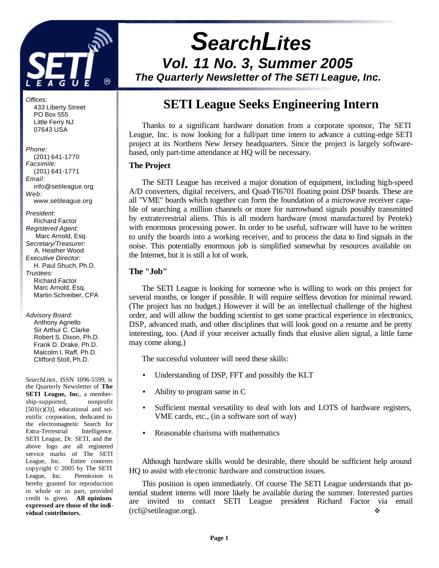

*Offices:* 433 Liberty Street PO Box 555 Little Ferry NJ 07643 USA

*Phone:*

- (201) 641-1770 *Facsimile:* (201) 641-1771 *Email:* info@setileague.org *Web:* www.setileague.org
- *President:* Richard Factor *Registered Agent:*  Marc Arnold, Esq. *Secretary/Treasurer:* A. Heather Wood *Executive Director:* H. Paul Shuch, Ph.D. *Trustees:* Richard Factor Marc Arnold, Esq. Martin Schreiber, CPA

*Advisory Board:*

 Anthony Agnello Sir Arthur C. Clarke Robert S. Dixon, Ph.D. Frank D. Drake, Ph.D. Malcolm I. Raff, Ph.D. Clifford Stoll, Ph.D.

*SearchLites*, ISSN 1096-5599, is the Quarterly Newsletter of **The SETI League, Inc**., a membership-supported, nonprofit  $[501(c)(3)]$ , educational and scientific corporation, dedicated to the electromagnetic Search for Extra-Terrestrial Intelligence. SETI League, Dr. SETI, and the above logo are all registered service marks of The SETI League, Inc. Entire contents copyright © 2005 by The SETI League, Inc. Permission is hereby granted for reproduction in whole or in part, provided credit is given. **All opinions expressed are those of the individual contributors.**

# *SearchLites Vol. 11 No. 3, Summer 2005*

*The Quarterly Newsletter of The SETI League, Inc.* 

# **SETI League Seeks Engineering Intern**

Thanks to a significant hardware donation from a corporate sponsor, The SETI League, Inc. is now looking for a full/part time intern to advance a cutting-edge SETI project at its Northern New Jersey headquarters. Since the project is largely softwarebased, only part-time attendance at HQ will be necessary.

### **The Project**

The SETI League has received a major donation of equipment, including high-speed A/D converters, digital receivers, and Quad-TI6701 floating point DSP boards. These are all "VME" boards which together can form the foundation of a microwave receiver capable of searching a million channels or more for narrowband signals possibly transmitted by extraterrestrial aliens. This is all modern hardware (most manufactured by Pentek) with enormous processing power. In order to be useful, software will have to be written to unify the boards into a working receiver, and to process the data to find signals in the noise. This potentially enormous job is simplified somewhat by resources available on the Internet, but it is still a lot of work.

### **The "Job"**

The SETI League is looking for someone who is willing to work on this project for several months, or longer if possible. It will require selfless devotion for minimal reward. (The project has no budget.) However it will be an intellectual challenge of the highest order, and will allow the budding scientist to get some practical experience in electronics, DSP, advanced math, and other disciplines that will look good on a resume and be pretty interesting, too. (And if your receiver actually finds that elusive alien signal, a little fame may come along.)

The successful volunteer will need these skills:

- Understanding of DSP, FFT and possibly the KLT
- Ability to program same in C
- Sufficient mental versatility to deal with lots and LOTS of hardware registers, VME cards, etc., (in a software sort of way)
- Reasonable charisma with mathematics

Although hardware skills would be desirable, there should be sufficient help around HQ to assist with ele ctronic hardware and construction issues.

This position is open immediately. Of course The SETI League understands that potential student interns will more likely be available during the summer. Interested parties are invited to contact SETI League president Richard Factor via email  $(rcf@setileague.org)$ .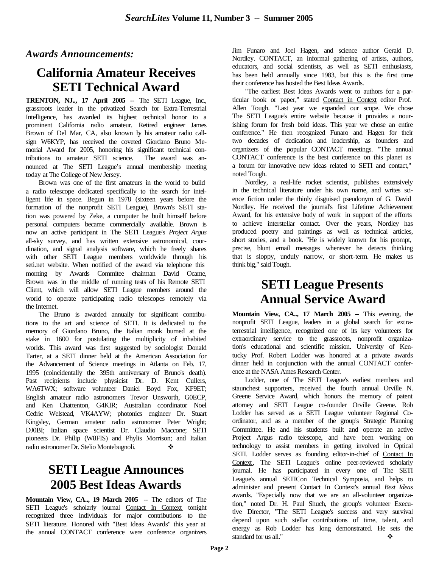*Awards Announcements:*

# **California Amateur Receives SETI Technical Award**

**TRENTON, NJ.., 17 April 2005 --** The SETI League, Inc., grassroots leader in the privatized Search for Extra-Terrestrial Intelligence, has awarded its highest technical honor to a prominent California radio amateur. Retired engineer James Brown of Del Mar, CA, also known by his amateur radio callsign W6KYP, has received the coveted Giordano Bruno Memorial Award for 2005, honoring his significant technical contributions to amateur SETI science. The award was announced at The SETI League's annual membership meeting today at The College of New Jersey.

Brown was one of the first amateurs in the world to build a radio telescope dedicated specifically to the search for intelligent life in space. Begun in 1978 (sixteen years before the formation of the nonprofit SETI League), Brown's SETI station was powered by Zeke, a computer he built himself before personal computers became commercially available. Brown is now an active participant in The SETI League's *Project Argus* all-sky survey, and has written extensive astronomical, coordination, and signal analysis software, which he freely shares with other SETI League members worldwide through his seti.net website. When notified of the award via telephone this morning by Awards Commitee chairman David Ocame, Brown was in the middle of running tests of his Remote SETI Client, which will allow SETI League members around the world to operate participating radio telescopes remotely via the Internet.

The Bruno is awarded annually for significant contributions to the art and science of SETI. It is dedicated to the memory of Giordano Bruno, the Italian monk burned at the stake in 1600 for postulating the multiplicity of inhabited worlds. This award was first suggested by sociologist Donald Tarter, at a SETI dinner held at the American Association for the Advancement of Science meetings in Atlanta on Feb. 17, 1995 (coincidentally the 395th anniversary of Bruno's death). Past recipients include physicist Dr. D. Kent Cullers, WA6TWX; software volunteer Daniel Boyd Fox, KF9ET; English amateur radio astronomers Trevor Unsworth, G0ECP, and Ken Chattenton, G4KIR; Australian coordinator Noel Cedric Welstead, VK4AYW; photonics engineer Dr. Stuart Kingsley, German amateur radio astronomer Peter Wright; DJ0BI; Italian space scientist Dr. Claudio Maccone; SETI pioneers Dr. Philip (W8FIS) and Phylis Morrison; and Italian radio astronomer Dr. Stelio Montebugnoli. v

# **SETI League Announces 2005 Best Ideas Awards**

**Mountain View, CA.., 19 March 2005** -- The editors of The SETI League's scholarly journal Contact In Context tonight recognized three individuals for major contributions to the SETI literature. Honored with "Best Ideas Awards" this year at the annual CONTACT conference were conference organizers Jim Funaro and Joel Hagen, and science author Gerald D. Nordley. CONTACT, an informal gathering of artists, authors, educators, and social scientists, as well as SETI enthusiasts, has been held annually since 1983, but this is the first time their conference has hosted the Best Ideas Awards.

"The earliest Best Ideas Awards went to authors for a particular book or paper," stated Contact in Context editor Prof. Allen Tough. "Last year we expanded our scope. We chose The SETI League's entire website because it provides a nourishing forum for fresh bold ideas. This year we chose an entire conference." He then recognized Funaro and Hagen for their two decades of dedication and leadership, as founders and organizers of the popular CONTACT meetings. "The annual CONTACT conference is the best conference on this planet as a forum for innovative new ideas related to SETI and contact," noted Tough.

Nordley, a real-life rocket scientist, publishes extensively in the technical literature under his own name, and writes science fiction under the thinly disguised pseudonym of G. David Nordley. He received the journal's first Lifetime Achievement Award, for his extensive body of work in support of the efforts to achieve interstellar contact. Over the years, Nordley has produced poetry and paintings as well as technical articles, short stories, and a book. "He is widely known for his prompt, precise, blunt email messages whenever he detects thinking that is sloppy, unduly narrow, or short-term. He makes us think big," said Tough.

# **SETI League Presents Annual Service Award**

**Mountain View, CA.., 17 March 2005** -- This evening, the nonprofit SETI League, leaders in a global search for extraterrestrial intelligence, recognized one of its key volunteers for extraordinary service to the grassroots, nonprofit organization's educational and scientific mission. University of Kentucky Prof. Robert Lodder was honored at a private awards dinner held in conjunction with the annual CONTACT conference at the NASA Ames Research Center.

Lodder, one of The SETI League's earliest members and staunchest supporters, received the fourth annual Orville N. Greene Service Award, which honors the memory of patent attorney and SETI League co-founder Orville Greene. Rob Lodder has served as a SETI League volunteer Regional Coordinator, and as a member of the group's Strategic Planning Committee. He and his students built and operate an active Project Argus radio telescope, and have been working on technology to assist members in getting involved in Optical SETI. Lodder serves as founding editor-in-chief of Contact In Context, The SETI League's online peer-reviewed scholarly journal. He has participated in every one of The SETI League's annual SETICon Technical Symposia, and helps to administer and present Contact In Context's annual *Best Ideas* awards. "Especially now that we are an all-volunteer organization," noted Dr. H. Paul Shuch, the group's volunteer Executive Director, "The SETI League's success and very survival depend upon such stellar contributions of time, talent, and energy as Rob Lodder has long demonstrated. He sets the standard for us all."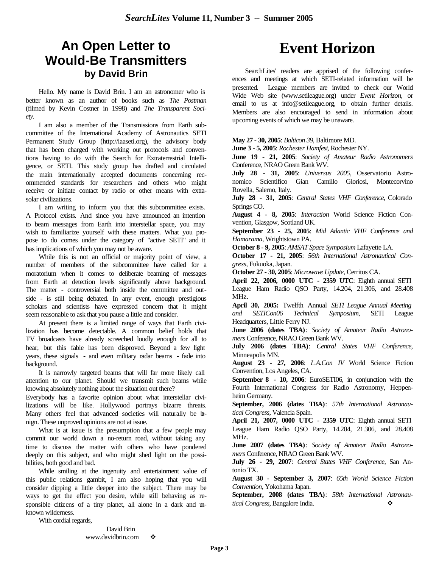# **An Open Letter to Would-Be Transmitters by David Brin**

Hello. My name is David Brin. I am an astronomer who is better known as an author of books such as *The Postman* (filmed by Kevin Costner in 1998) and *The Transparent Society*.

I am also a member of the Transmissions from Earth subcommittee of the International Academy of Astronautics SETI Permanent Study Group (http://iaaseti.org), the advisory body that has been charged with working out protocols and conventions having to do with the Search for Extraterrestrial Intelligence, or SETI. This study group has drafted and circulated the main internationally accepted documents concerning recommended standards for researchers and others who might receive or initiate contact by radio or other means with extrasolar civilizations.

I am writing to inform you that this subcommittee exists. A Protocol exists. And since you have announced an intention to beam messages from Earth into interstellar space, you may wish to familiarize yourself with these matters. What you propose to do comes under the category of "active SETI" and it has implications of which you may not be aware.

While this is not an official or majority point of view, a number of members of the subcommittee have called for a moratorium when it comes to deliberate beaming of messages from Earth at detection levels significantly above background. The matter - controversial both inside the committee and outside - is still being debated. In any event, enough prestigious scholars and scientists have expressed concern that it might seem reasonable to ask that you pause a little and consider.

At present there is a limited range of ways that Earth civilization has become detectable. A common belief holds that TV broadcasts have already screeched loudly enough for all to hear, but this fable has been disproved. Beyond a few light years, these signals - and even military radar beams - fade into background.

It is narrowly targeted beams that will far more likely call attention to our planet. Should we transmit such beams while knowing absolutely nothing about the situation out there?

Everybody has a favorite opinion about what interstellar civilizations will be like. Hollywood portrays bizarre threats. Many others feel that advanced societies will naturally be benign. These unproved opinions are not at issue.

What is at issue is the presumption that a few people may commit our world down a no-return road, without taking any time to discuss the matter with others who have pondered deeply on this subject, and who might shed light on the possibilities, both good and bad.

While smiling at the ingenuity and entertainment value of this public relations gambit, I am also hoping that you will consider dipping a little deeper into the subject. There may be ways to get the effect you desire, while still behaving as responsible citizens of a tiny planet, all alone in a dark and unknown wilderness.

With cordial regards,

David Brin www.davidbrin.com →

# **Event Horizon**

SearchLites' readers are apprised of the following conferences and meetings at which SETI-related information will be presented. League members are invited to check our World Wide Web site (www.setileague.org) under *Event Horizon*, or email to us at info@setileague.org, to obtain further details. Members are also encouraged to send in information about upcoming events of which we may be unaware.

#### **May 27 - 30, 2005**: *Balticon 39*, Baltimore MD.

**June 3 - 5, 2005**: *Rochester Hamfest*, Rochester NY.

**June 19 - 21, 2005**: *Society of Amateur Radio Astronomers* Conference, NRAO Green Bank WV.

**July 28 - 31, 2005**: *Universus 2005*, Osservatorio Astronomico Scientifico Gian Camillo Gloriosi, Montecorvino Rovella, Salerno, Italy.

**July 28 - 31, 2005**: *Central States VHF Conference*, Colorado Springs CO.

**August 4 - 8, 2005**: *Interaction* World Science Fiction Convention, Glasgow, Scotland UK.

**September 23 - 25, 2005**: *Mid Atlantic VHF Conference and Hamarama*, Wrightstown PA.

**October 8 - 9, 2005**: *AMSAT Space Symposium* Lafayette LA.

**October 17 - 21, 2005**: *56th International Astronautical Congress*, Fukuoka, Japan.

**October 27 - 30, 2005**: *Microwave Update*, Cerritos CA.

**April 22, 2006, 0000 UTC - 2359 UTC**: Eighth annual SETI League Ham Radio QSO Party, 14.204, 21.306, and 28.408 MHz.

**April 30, 2005:** Twelfth Annual *SETI League Annual Meeting and SETICon06 Technical Symposium*, SETI League Headquarters, Little Ferry NJ.

**June 2006 (dates TBA)**: *Society of Amateur Radio Astronomers* Conference, NRAO Green Bank WV.

**July 2006 (dates TBA)**: *Central States VHF Conference*, Minneapolis MN.

**August 23 - 27, 2006**: *L.A.Con IV* World Science Fiction Convention, Los Angeles, CA.

**September 8 - 10, 2006**: EuroSETI06, in conjunction with the Fourth International Congress for Radio Astronomy, Heppenheim Germany.

**September, 2006 (dates TBA)**: *57th International Astronautical Congress*, Valencia Spain.

**April 21, 2007, 0000 UTC - 2359 UTC**: Eighth annual SETI League Ham Radio QSO Party, 14.204, 21.306, and 28.408 MHz.

**June 2007 (dates TBA)**: *Society of Amateur Radio Astronomers* Conference, NRAO Green Bank WV.

**July 26 - 29, 2007**: *Central States VHF Conference*, San Antonio TX.

**August 30 - September 3, 2007**: *65th World Science Fiction Convention*, Yokohama Japan.

**September, 2008 (dates TBA)**: *58th International Astronautical Congress*, Bangalore India.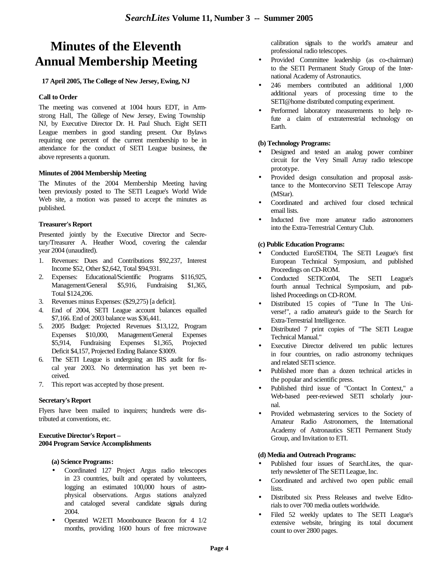# **Minutes of the Eleventh Annual Membership Meeting**

#### **17 April 2005, The College of New Jersey, Ewing, NJ**

#### **Call to Order**

The meeting was convened at 1004 hours EDT, in Armstrong Hall, The College of New Jersey, Ewing Township NJ, by Executive Director Dr. H. Paul Shuch. Eight SETI League members in good standing present. Our Bylaws requiring one percent of the current membership to be in attendance for the conduct of SETI League business, the above represents a quorum.

#### **Minutes of 2004 Membership Meeting**

The Minutes of the 2004 Membership Meeting having been previously posted to The SETI League's World Wide Web site, a motion was passed to accept the minutes as published.

#### **Treasurer's Report**

Presented jointly by the Executive Director and Secretary/Treasurer A. Heather Wood, covering the calendar year 2004 (unaudited).

- 1. Revenues: Dues and Contributions \$92,237, Interest Income \$52, Other \$2,642, Total \$94,931.
- 2. Expenses: Educational/Scientific Programs \$116,925, Management/General \$5,916, Fundraising \$1,365, Total \$124,206.
- 3. Revenues minus Expenses: (\$29,275) [a deficit].
- 4. End of 2004, SETI League account balances equalled \$7,166. End of 2003 balance was \$36,441.
- 5. 2005 Budget: Projected Revenues \$13,122, Program Expenses \$10,000, Management/General Expenses \$5,914, Fundraising Expenses \$1,365, Projected Deficit \$4,157, Projected Ending Balance \$3009.
- 6. The SETI League is undergoing an IRS audit for fiscal year 2003. No determination has yet been received.
- 7. This report was accepted by those present.

#### **Secretary's Report**

Flyers have been mailed to inquirers; hundreds were distributed at conventions, etc.

#### **Executive Director's Report – 2004 Program Service Accomplishments**

#### **(a) Science Programs:**

- Coordinated 127 Project Argus radio telescopes in 23 countries, built and operated by volunteers, logging an estimated 100,000 hours of astrophysical observations. Argus stations analyzed and cataloged several candidate signals during 2004.
- Operated W2ETI Moonbounce Beacon for 4 1/2 months, providing 1600 hours of free microwave

calibration signals to the world's amateur and professional radio telescopes.

- Provided Committee leadership (as co-chairman) to the SETI Permanent Study Group of the International Academy of Astronautics.
- 246 members contributed an additional 1,000 additional years of processing time to the SETI@home distributed computing experiment.
- Performed laboratory measurements to help refute a claim of extraterrestrial technology on Earth.

#### **(b) Technology Programs:**

- Designed and tested an analog power combiner circuit for the Very Small Array radio telescope prototype.
- Provided design consultation and proposal assistance to the Montecorvino SETI Telescope Array (MStar).
- Coordinated and archived four closed technical email lists.
- Inducted five more amateur radio astronomers into the Extra-Terrestrial Century Club.

#### **(c) Public Education Programs:**

- Conducted EuroSETI04, The SETI League's first European Technical Symposium, and published Proceedings on CD-ROM.
- Conducted SETICon04, The SETI League's fourth annual Technical Symposium, and published Proceedings on CD-ROM.
- Distributed 15 copies of "Tune In The Universe!", a radio amateur's guide to the Search for Extra-Terrestrial Intelligence.
- Distributed 7 print copies of "The SETI League Technical Manual."
- Executive Director delivered ten public lectures in four countries, on radio astronomy techniques and related SETI science.
- Published more than a dozen technical articles in the popular and scientific press.
- Published third issue of "Contact In Context," a Web-based peer-reviewed SETI scholarly journal.
- Provided webmastering services to the Society of Amateur Radio Astronomers, the International Academy of Astronautics SETI Permanent Study Group, and Invitation to ETI.

#### **(d) Media and Outreach Programs:**

- Published four issues of SearchLites, the quarterly newsletter of The SETI League, Inc.
- Coordinated and archived two open public email lists.
- Distributed six Press Releases and twelve Editorials to over 700 media outlets worldwide.
- Filed 52 weekly updates to The SETI League's extensive website, bringing its total document count to over 2800 pages.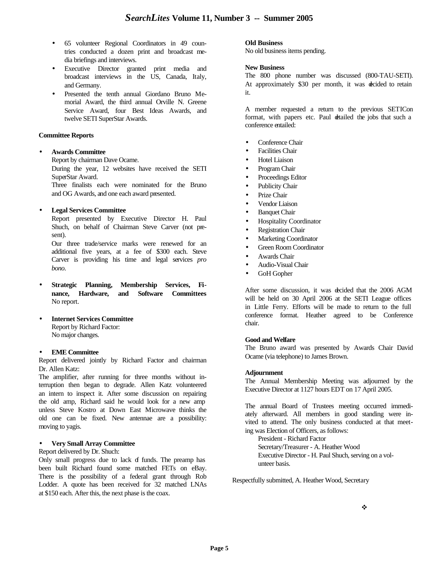- 65 volunteer Regional Coordinators in 49 countries conducted a dozen print and broadcast media briefings and interviews.
- Executive Director granted print media and broadcast interviews in the US, Canada, Italy, and Germany.
- Presented the tenth annual Giordano Bruno Memorial Award, the third annual Orville N. Greene Service Award, four Best Ideas Awards, and twelve SETI SuperStar Awards.

#### **Committee Reports**

#### • **Awards Committee**

Report by chairman Dave Ocame.

During the year, 12 websites have received the SETI SuperStar Award.

Three finalists each were nominated for the Bruno and OG Awards, and one each award presented.

#### • **Legal Services Committee**

Report presented by Executive Director H. Paul Shuch, on behalf of Chairman Steve Carver (not present).

Our three trade/service marks were renewed for an additional five years, at a fee of \$300 each. Steve Carver is providing his time and legal services *pro bono*.

- **Strategic Planning, Membership Services, Finance, Hardware, and Software Committees** No report.
- **Internet Services Committee** Report by Richard Factor:
	- No major changes.

#### • **EME Committee**

Report delivered jointly by Richard Factor and chairman Dr. Allen Katz:

The amplifier, after running for three months without interruption then began to degrade. Allen Katz volunteered an intern to inspect it. After some discussion on repairing the old amp, Richard said he would look for a new amp unless Steve Kostro at Down East Microwave thinks the old one can be fixed. New antennae are a possibility: moving to yagis.

#### • **Very Small Array Committee**

Report delivered by Dr. Shuch:

Only small progress due to lack of funds. The preamp has been built Richard found some matched FETs on eBay. There is the possibility of a federal grant through Rob Lodder. A quote has been received for 32 matched LNAs at \$150 each. After this, the next phase is the coax.

#### **Old Business**

No old business items pending.

#### **New Business**

The 800 phone number was discussed (800-TAU-SETI). At approximately \$30 per month, it was decided to retain it.

A member requested a return to the previous SETICon format, with papers etc. Paul detailed the jobs that such a conference entailed:

- Conference Chair
- Facilities Chair
- Hotel Liaison
- Program Chair
- Proceedings Editor
- Publicity Chair
- Prize Chair
- Vendor Liaison
- Banquet Chair
- Hospitality Coordinator
- Registration Chair
- Marketing Coordinator
- Green Room Coordinator
- Awards Chair
- Audio-Visual Chair
- GoH Gopher

After some discussion, it was decided that the 2006 AGM will be held on 30 April 2006 at the SETI League offices in Little Ferry. Efforts will be made to return to the full conference format. Heather agreed to be Conference chair.

#### **Good and Welfare**

The Bruno award was presented by Awards Chair David Ocame (via telephone) to James Brown.

#### **Adjournment**

The Annual Membership Meeting was adjourned by the Executive Director at 1127 hours EDT on 17 April 2005.

The annual Board of Trustees meeting occurred immediately afterward. All members in good standing were invited to attend. The only business conducted at that meeting was Election of Officers, as follows:

President - Richard Factor Secretary/Treasurer - A. Heather Wood Executive Director - H. Paul Shuch, serving on a volunteer basis.

Respectfully submitted, A. Heather Wood, Secretary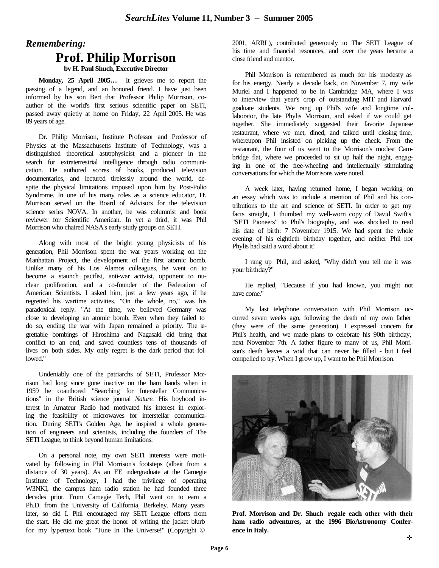### *Remembering:*

### **Prof. Philip Morrison**

**by H. Paul Shuch, Executive Director**

**Monday, 25 April 2005…** It grieves me to report the passing of a legend, and an honored friend. I have just been informed by his son Bert that Professor Philip Morrison, coauthor of the world's first serious scientific paper on SETI, passed away quietly at home on Friday, 22 April 2005. He was 89 years of age.

Dr. Philip Morrison, Institute Professor and Professor of Physics at the Massachusetts Institute of Technology, was a distinguished theoretical astrophysicist and a pioneer in the search for extraterrestrial intelligence through radio communication. He authored scores of books, produced television documentaries, and lectured tirelessly around the world, despite the physical limitations imposed upon him by Post-Polio Syndrome. In one of his many roles as a science educator, D. Morrison served on the Board of Advisors for the television science series NOVA. In another, he was columnist and book reviewer for Scientific American. In yet a third, it was Phil Morrison who chaired NASA's early study groups on SETI.

Along with most of the bright young physicists of his generation, Phil Morrison spent the war years working on the Manhattan Project, the development of the first atomic bomb. Unlike many of his Los Alamos colleagues, he went on to become a staunch pacifist, anti-war activist, opponent to nuclear proliferation, and a co-founder of the Federation of American Scientists. I asked him, just a few years ago, if he regretted his wartime activities. "On the whole, no," was his paradoxical reply. "At the time, we believed Germany was close to developing an atomic bomb. Even when they failed to do so, ending the war with Japan remained a priority. The regrettable bombings of Hiroshima and Nagasaki did bring that conflict to an end, and saved countless tens of thousands of lives on both sides. My only regret is the dark period that followed."

Undeniably one of the patriarchs of SETI, Professor Morrison had long since gone inactive on the ham bands when in 1959 he coauthored "Searching for Interstellar Communications" in the British science journal *Nature.* His boyhood interest in Amateur Radio had motivated his interest in exploring the feasibility of microwaves for interstellar communication. During SETI's Golden Age, he inspired a whole generation of engineers and scientists, including the founders of The SETI League, to think beyond human limitations.

On a personal note, my own SETI interests were motivated by following in Phil Morrison's footsteps (albeit from a distance of 30 years). As an EE undergraduate at the Carnegie Institute of Technology, I had the privilege of operating W3NKI, the campus ham radio station he had founded three decades prior. From Carnegie Tech, Phil went on to earn a Ph.D. from the University of California, Berkeley. Many years later, so did I. Phil encouraged my SETI League efforts from the start. He did me great the honor of writing the jacket blurb for my hypertext book "Tune In The Universe!" (Copyright ©

2001, ARRL), contributed generously to The SETI League of his time and financial resources, and over the years became a close friend and mentor.

Phil Morrison is remembered as much for his modesty as for his energy. Nearly a decade back, on November 7, my wife Muriel and I happened to be in Cambridge MA, where I was to interview that year's crop of outstanding MIT and Harvard graduate students. We rang up Phil's wife and longtime collaborator, the late Phylis Morrison, and asked if we could get together. She immediately suggested their favorite Japanese restaurant, where we met, dined, and talked until closing time, whereupon Phil insisted on picking up the check. From the restaurant, the four of us went to the Morrison's modest Cambridge flat, where we proceeded to sit up half the night, engaging in one of the free-wheeling and intellectually stimulating conversations for which the Morrisons were noted.

A week later, having returned home, I began working on an essay which was to include a mention of Phil and his contributions to the art and science of SETI. In order to get my facts straight, I thumbed my well-worn copy of David Swift's "SETI Pioneers" to Phil's biography, and was shocked to read his date of birth: 7 November 1915. We had spent the whole evening of his eightieth birthday together, and neither Phil nor Phylis had said a word about it!

I rang up Phil, and asked, "Why didn't you tell me it was your birthday?"

He replied, "Because if you had known, you might not have come."

My last telephone conversation with Phil Morrison occurred seven weeks ago, following the death of my own father (they were of the same generation). I expressed concern for Phil's health, and we made plans to celebrate his 90th birthday, next November 7th. A father figure to many of us, Phil Morrison's death leaves a void that can never be filled - but I feel compelled to try. When I grow up, I want to be Phil Morrison.



**Prof. Morrison and Dr. Shuch regale each other with their ham radio adventures, at the 1996 BioAstronomy Conference in Italy.**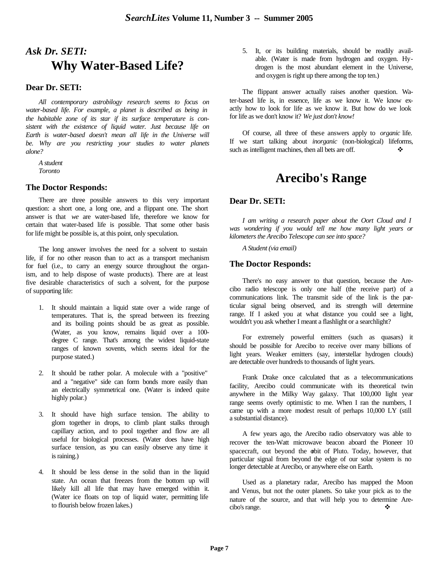# *Ask Dr. SETI:*  **Why Water-Based Life?**

#### **Dear Dr. SETI:**

*All contemporary astrobilogy research seems to focus on water-based life. For example, a planet is described as being in the habitable zone of its star if its surface temperature is consistent with the existence of liquid water. Just because life on Earth is water-based doesn't mean all life in the Universe will be. Why are you restricting your studies to water planets alone?* 

*A student Toronto*

#### **The Doctor Responds:**

There are three possible answers to this very important question: a short one, a long one, and a flippant one. The short answer is that *we* are water-based life, therefore we know for certain that water-based life is possible. That some other basis for life might be possible is, at this point, only speculation.

The long answer involves the need for a solvent to sustain life, if for no other reason than to act as a transport mechanism for fuel (i.e., to carry an energy source throughout the organism, and to help dispose of waste products). There are at least five desirable characteristics of such a solvent, for the purpose of supporting life:

- 1. It should maintain a liquid state over a wide range of temperatures. That is, the spread between its freezing and its boiling points should be as great as possible. (Water, as you know, remains liquid over a 100 degree C range. That's among the widest liquid-state ranges of known sovents, which seems ideal for the purpose stated.)
- 2. It should be rather polar. A molecule with a "positive" and a "negative" side can form bonds more easily than an electrically symmetrical one. (Water is indeed quite highly polar.)
- 3. It should have high surface tension. The ability to glom together in drops, to climb plant stalks through capillary action, and to pool together and flow are all useful for biological processes. (Water does have high surface tension, as you can easily observe any time it is raining.)
- 4. It should be less dense in the solid than in the liquid state. An ocean that freezes from the bottom up will likely kill all life that may have emerged within it. (Water ice floats on top of liquid water, permitting life to flourish below frozen lakes.)

5. It, or its building materials, should be readily available. (Water is made from hydrogen and oxygen. Hydrogen is the most abundant element in the Universe, and oxygen is right up there among the top ten.)

The flippant answer actually raises another question. Water-based life is, in essence, life as we know it. We know exactly how to look for life as we know it. But how do we look for life as we don't know it? *We just don't know!*

Of course, all three of these answers apply to *organic* life. If we start talking about *inorganic* (non-biological) lifeforms, such as intelligent machines, then all bets are off.  $\bullet$ 

### **Arecibo's Range**

#### **Dear Dr. SETI:**

*I am writing a research paper about the Oort Cloud and I was wondering if you would tell me how many light years or kilometers the Arecibo Telescope can see into space?* 

*A Student (via email)*

#### **The Doctor Responds:**

There's no easy answer to that question, because the Arecibo radio telescope is only one half (the receive part) of a communications link. The transmit side of the link is the particular signal being observed, and its strength will determine range. If I asked you at what distance you could see a light, wouldn't you ask whether I meant a flashlight or a searchlight?

For extremely powerful emitters (such as quasars) it should be possible for Arecibo to receive over many billions of light years. Weaker emitters (say, interstellar hydrogen clouds) are detectable over hundreds to thousands of light years.

Frank Drake once calculated that as a telecommunications facility, Arecibo could communicate with its theoretical twin anywhere in the Milky Way galaxy. That 100,000 light year range seems overly optimistic to me. When I ran the numbers, I came up with a more modest result of perhaps 10,000 LY (still a substantial distance).

A few years ago, the Arecibo radio observatory was able to recover the ten-Watt microwave beacon aboard the Pioneer 10 spacecraft, out beyond the obit of Pluto. Today, however, that particular signal from beyond the edge of our solar system is no longer detectable at Arecibo, or anywhere else on Earth.

Used as a planetary radar, Arecibo has mapped the Moon and Venus, but not the outer planets. So take your pick as to the nature of the source, and that will help you to determine Arecibo's range.  $\bullet$